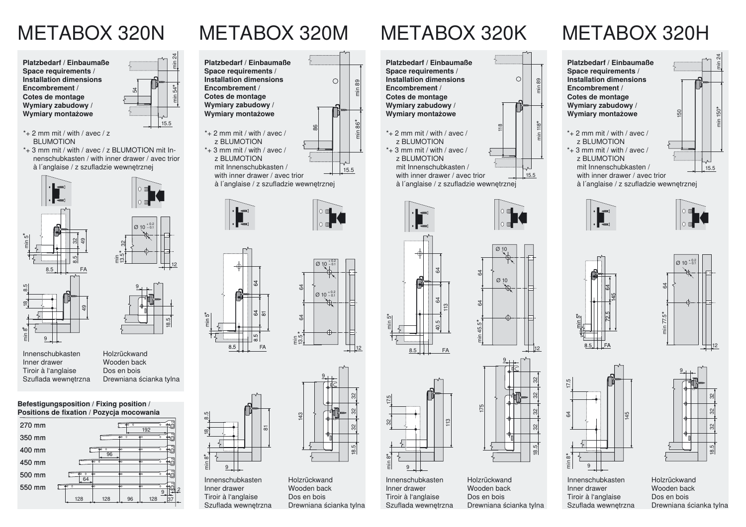## METABOX 320N METABOX 320M METABOX 320H METABOX 320K

**Platzbedarf / EinbaumaßeSpace requirements / Installation dimensionsEncombrement /Cotes de montage Wymiary zabudowy / Wymiary montażowe**

- $*$  2 mm mit / with / avec / z **BLUMOTION**
- \*+ 3 mm mit / with / avec / z BLUMOTION mit Innenschubkasten / with inner drawer / avec trior à l´anglaise / z szufladzie wewnętrznej



InnenschubkastenInner drawerTiroir à l'anglaise Szuflada wewnętrzna



Drewniana ścianka tylna

9

 $\varnothing$  10  $0^{+0.2}_{-0.1}$ 

54

18.5

min 24

min 54

\*

15.5

8.5

\*

 $\frac{\infty}{2}$ 

min 8 \*

9

InnenschubkastenInner drawer Tiroir à l'anglaise

**Befestigungsposition / Fixing position / Positions de fixation / Pozycja mocowania**











51

Szuflada wewnętrzna HolzrückwandWooden backDos en boisDrewniana ścianka tylna







**Platzbedarf / EinbaumaßeSpace requirements / Installation dimensionsEncombrement /Cotes de montage Wymiary zabudowy / Wymiary montażowe**

\*+ 2 mm mit / with / avec /z BLUMOTION $*$  + 3 mm mit / with / avec / z BLUMOTION mit Innenschubkasten /



min 24

à l´anglaise / z szufladzie wewnętrznej









 $\overline{9}$ 



InnenschubkastenInner drawer Tiroir à l'anglaise Szuflada wewnętrzna

HolzrückwandWooden backDos en boisDrewniana ścianka tylna



32

min 89

min 118

\*

15.5











Inner drawer Tiroir à l'anglaise Szuflada wewnętrzna

min 5 \*

8.5

 $\frac{4}{3}$ 

64

113

 $FA$ 

113

175

HolzrückwandWooden backDos en bois

Drewniana ścianka tylna

40.5